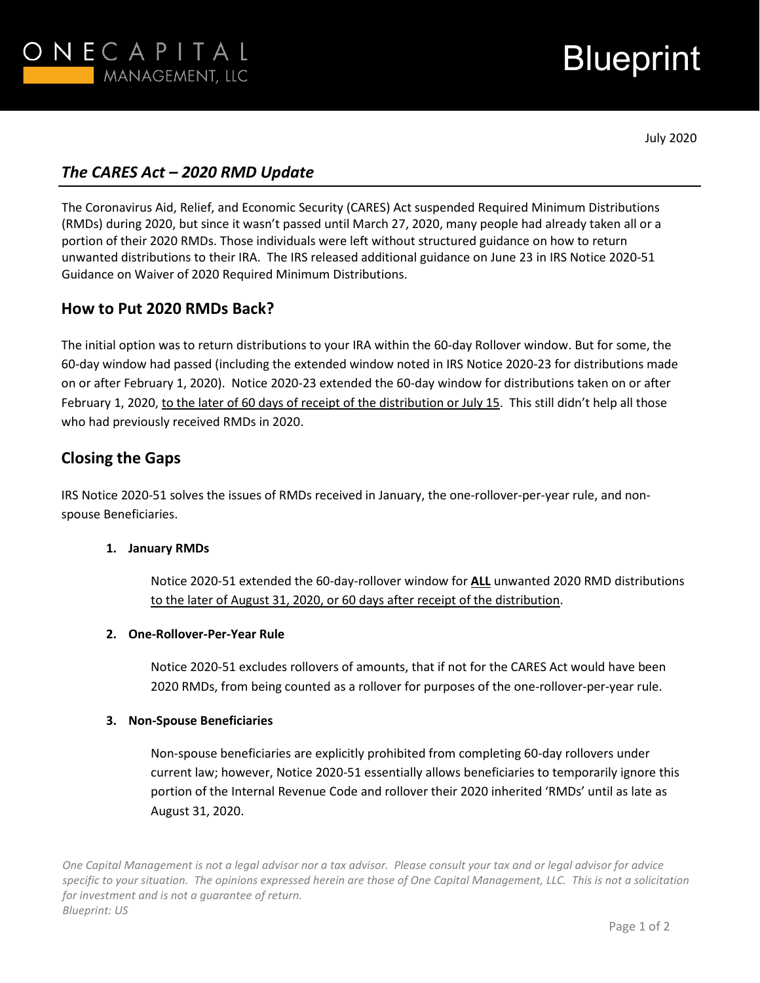

# **Blueprint**

July 2020

## *The CARES Act – 2020 RMD Update*

The Coronavirus Aid, Relief, and Economic Security (CARES) Act suspended Required Minimum Distributions (RMDs) during 2020, but since it wasn't passed until March 27, 2020, many people had already taken all or a portion of their 2020 RMDs. Those individuals were left without structured guidance on how to return unwanted distributions to their IRA. The IRS released additional guidance on June 23 in IRS Notice 2020-51 Guidance on Waiver of 2020 Required Minimum Distributions.

## **How to Put 2020 RMDs Back?**

The initial option was to return distributions to your IRA within the 60-day Rollover window. But for some, the 60-day window had passed (including the extended window noted in IRS Notice 2020-23 for distributions made on or after February 1, 2020). Notice 2020-23 extended the 60-day window for distributions taken on or after February 1, 2020, to the later of 60 days of receipt of the distribution or July 15. This still didn't help all those who had previously received RMDs in 2020.

## **Closing the Gaps**

IRS Notice 2020-51 solves the issues of RMDs received in January, the one-rollover-per-year rule, and nonspouse Beneficiaries.

#### **1. January RMDs**

Notice 2020-51 extended the 60-day-rollover window for **ALL** unwanted 2020 RMD distributions to the later of August 31, 2020, or 60 days after receipt of the distribution.

#### **2. One-Rollover-Per-Year Rule**

Notice 2020-51 excludes rollovers of amounts, that if not for the CARES Act would have been 2020 RMDs, from being counted as a rollover for purposes of the one-rollover-per-year rule.

#### **3. Non-Spouse Beneficiaries**

Non-spouse beneficiaries are explicitly prohibited from completing 60-day rollovers under current law; however, Notice 2020-51 essentially allows beneficiaries to temporarily ignore this portion of the Internal Revenue Code and rollover their 2020 inherited 'RMDs' until as late as August 31, 2020.

*One Capital Management is not a legal advisor nor a tax advisor. Please consult your tax and or legal advisor for advice specific to your situation. The opinions expressed herein are those of One Capital Management, LLC. This is not a solicitation for investment and is not a guarantee of return. Blueprint: US*